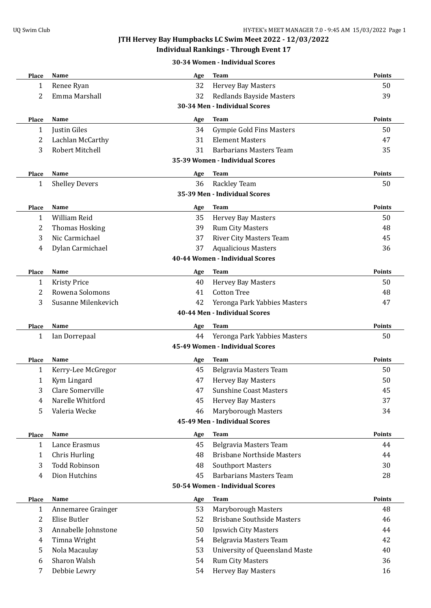### **Individual Rankings - Through Event 17**

#### **30-34 Women - Individual Scores**

| <b>Place</b> | <b>Name</b>           | Age | <b>Team</b>                           | Points        |
|--------------|-----------------------|-----|---------------------------------------|---------------|
| $\mathbf{1}$ | Renee Ryan            | 32  | <b>Hervey Bay Masters</b>             | 50            |
| 2            | Emma Marshall         | 32  | <b>Redlands Bayside Masters</b>       | 39            |
|              |                       |     | 30-34 Men - Individual Scores         |               |
| <b>Place</b> | <b>Name</b>           | Age | <b>Team</b>                           | <b>Points</b> |
| 1            | Justin Giles          | 34  | <b>Gympie Gold Fins Masters</b>       | 50            |
| 2            | Lachlan McCarthy      | 31  | <b>Element Masters</b>                | 47            |
| 3            | Robert Mitchell       | 31  | <b>Barbarians Masters Team</b>        | 35            |
|              |                       |     | 35-39 Women - Individual Scores       |               |
| Place        | <b>Name</b>           | Age | Team                                  | <b>Points</b> |
| $\mathbf{1}$ | <b>Shelley Devers</b> | 36  | Rackley Team                          | 50            |
|              |                       |     | 35-39 Men - Individual Scores         |               |
| Place        | Name                  | Age | Team                                  | <b>Points</b> |
| $\mathbf{1}$ | William Reid          | 35  | <b>Hervey Bay Masters</b>             | 50            |
| 2            | <b>Thomas Hosking</b> | 39  | <b>Rum City Masters</b>               | 48            |
| 3            | Nic Carmichael        | 37  | <b>River City Masters Team</b>        | 45            |
| 4            | Dylan Carmichael      | 37  | <b>Aqualicious Masters</b>            | 36            |
|              |                       |     | 40-44 Women - Individual Scores       |               |
| <b>Place</b> | Name                  | Age | <b>Team</b>                           | <b>Points</b> |
| 1            | <b>Kristy Price</b>   | 40  | <b>Hervey Bay Masters</b>             | 50            |
| 2            | Rowena Solomons       | 41  | <b>Cotton Tree</b>                    | 48            |
| 3            | Susanne Milenkevich   | 42  | Yeronga Park Yabbies Masters          | 47            |
|              |                       |     | 40-44 Men - Individual Scores         |               |
| <b>Place</b> | <b>Name</b>           | Age | <b>Team</b>                           | <b>Points</b> |
| 1            | Ian Dorrepaal         | 44  | Yeronga Park Yabbies Masters          | 50            |
|              |                       |     | 45-49 Women - Individual Scores       |               |
| <b>Place</b> | <b>Name</b>           | Age | Team                                  | <b>Points</b> |
| 1            | Kerry-Lee McGregor    | 45  | Belgravia Masters Team                | 50            |
| 1            | Kym Lingard           | 47  | <b>Hervey Bay Masters</b>             | 50            |
| 3            | Clare Somerville      | 47  | <b>Sunshine Coast Masters</b>         | 45            |
| 4            | Narelle Whitford      | 45  | <b>Hervey Bay Masters</b>             | 37            |
| 5            | Valeria Wecke         | 46  | Maryborough Masters                   | 34            |
|              |                       |     | 45-49 Men - Individual Scores         |               |
| Place        | Name                  | Age | Team                                  | <b>Points</b> |
| 1            | Lance Erasmus         | 45  | Belgravia Masters Team                | 44            |
| 1            | <b>Chris Hurling</b>  | 48  | <b>Brisbane Northside Masters</b>     | 44            |
| 3            | <b>Todd Robinson</b>  | 48  | <b>Southport Masters</b>              | 30            |
| 4            | Dion Hutchins         | 45  | <b>Barbarians Masters Team</b>        | 28            |
|              |                       |     | 50-54 Women - Individual Scores       |               |
| Place        | Name                  | Age | Team                                  | Points        |
| 1            | Annemaree Grainger    | 53  | Maryborough Masters                   | 48            |
| 2            | Elise Butler          | 52  | <b>Brisbane Southside Masters</b>     | 46            |
| 3            | Annabelle Johnstone   | 50  | <b>Ipswich City Masters</b>           | 44            |
| 4            | Timna Wright          | 54  | Belgravia Masters Team                | 42            |
| 5            | Nola Macaulay         | 53  | <b>University of Queensland Maste</b> | 40            |
| 6            | Sharon Walsh          | 54  | <b>Rum City Masters</b>               | 36            |
| 7            | Debbie Lewry          | 54  | Hervey Bay Masters                    | 16            |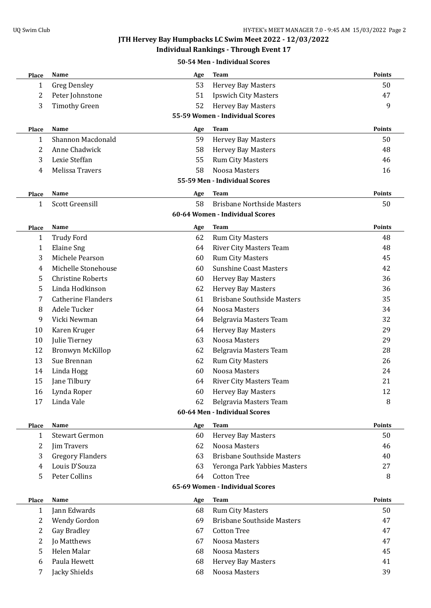**Individual Rankings - Through Event 17**

**50-54 Men - Individual Scores**

| Place        | <b>Name</b>               | Age | <b>Team</b>                       | <b>Points</b> |
|--------------|---------------------------|-----|-----------------------------------|---------------|
| $\mathbf 1$  | <b>Greg Densley</b>       | 53  | <b>Hervey Bay Masters</b>         | 50            |
| 2            | Peter Johnstone           | 51  | <b>Ipswich City Masters</b>       | 47            |
| 3            | <b>Timothy Green</b>      | 52  | <b>Hervey Bay Masters</b>         | 9             |
|              |                           |     | 55-59 Women - Individual Scores   |               |
| <b>Place</b> | Name                      | Age | <b>Team</b>                       | <b>Points</b> |
| 1            | Shannon Macdonald         | 59  | <b>Hervey Bay Masters</b>         | 50            |
| 2            | Anne Chadwick             | 58  | <b>Hervey Bay Masters</b>         | 48            |
| 3            | Lexie Steffan             | 55  | <b>Rum City Masters</b>           | 46            |
| 4            | Melissa Travers           | 58  | Noosa Masters                     | 16            |
|              |                           |     | 55-59 Men - Individual Scores     |               |
| <b>Place</b> | <b>Name</b>               | Age | <b>Team</b>                       | Points        |
| 1            | Scott Greensill           | 58  | <b>Brisbane Northside Masters</b> | 50            |
|              |                           |     | 60-64 Women - Individual Scores   |               |
| Place        | <b>Name</b>               | Age | <b>Team</b>                       | <b>Points</b> |
| 1            | <b>Trudy Ford</b>         | 62  | <b>Rum City Masters</b>           | 48            |
| $\mathbf 1$  | <b>Elaine Sng</b>         | 64  | <b>River City Masters Team</b>    | 48            |
| 3            | Michele Pearson           | 60  | <b>Rum City Masters</b>           | 45            |
| 4            | Michelle Stonehouse       | 60  | <b>Sunshine Coast Masters</b>     | 42            |
| 5            | <b>Christine Roberts</b>  | 60  | <b>Hervey Bay Masters</b>         | 36            |
| 5            | Linda Hodkinson           | 62  | <b>Hervey Bay Masters</b>         | 36            |
| 7            | <b>Catherine Flanders</b> | 61  | <b>Brisbane Southside Masters</b> | 35            |
| 8            | Adele Tucker              | 64  | Noosa Masters                     | 34            |
| 9            | Vicki Newman              | 64  | Belgravia Masters Team            | 32            |
| 10           | Karen Kruger              | 64  | <b>Hervey Bay Masters</b>         | 29            |
| 10           | Julie Tierney             | 63  | Noosa Masters                     | 29            |
| 12           | Bronwyn McKillop          | 62  | Belgravia Masters Team            | 28            |
| 13           | Sue Brennan               | 62  | <b>Rum City Masters</b>           | 26            |
| 14           | Linda Hogg                | 60  | Noosa Masters                     | 24            |
| 15           | Jane Tilbury              | 64  | <b>River City Masters Team</b>    | 21            |
| 16           | Lynda Roper               | 60  | <b>Hervey Bay Masters</b>         | 12            |
| 17           | Linda Vale                | 62  | Belgravia Masters Team            | 8             |
|              |                           |     | 60-64 Men - Individual Scores     |               |
| Place        | Name                      | Age | <b>Team</b>                       | <b>Points</b> |
| 1            | <b>Stewart Germon</b>     | 60  | <b>Hervey Bay Masters</b>         | 50            |
| 2            | Jim Travers               | 62  | Noosa Masters                     | 46            |
| 3            | <b>Gregory Flanders</b>   | 63  | <b>Brisbane Southside Masters</b> | 40            |
| 4            | Louis D'Souza             | 63  | Yeronga Park Yabbies Masters      | 27            |
| 5            | Peter Collins             | 64  | <b>Cotton Tree</b>                | 8             |
|              |                           |     | 65-69 Women - Individual Scores   |               |
| Place        | Name                      | Age | <b>Team</b>                       | <b>Points</b> |
| 1            | Jann Edwards              | 68  | <b>Rum City Masters</b>           | 50            |
| 2            | Wendy Gordon              | 69  | <b>Brisbane Southside Masters</b> | 47            |
| 2            | Gay Bradley               | 67  | <b>Cotton Tree</b>                | 47            |
| 2            | Jo Matthews               | 67  | Noosa Masters                     | 47            |
| 5            | Helen Malar               | 68  | Noosa Masters                     | 45            |
| 6            | Paula Hewett              | 68  | <b>Hervey Bay Masters</b>         | 41            |
| 7            | Jacky Shields             | 68  | Noosa Masters                     | 39            |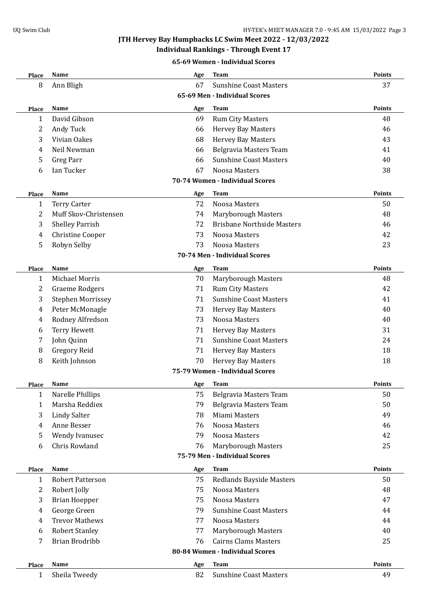# **Individual Rankings - Through Event 17**

#### **65-69 Women - Individual Scores**

| <b>Place</b>                    | Name                                        | Age | <b>Team</b>                       | Points        |  |  |  |
|---------------------------------|---------------------------------------------|-----|-----------------------------------|---------------|--|--|--|
| 8                               | Ann Bligh                                   | 67  | <b>Sunshine Coast Masters</b>     | 37            |  |  |  |
|                                 | 65-69 Men - Individual Scores               |     |                                   |               |  |  |  |
| Place                           | Name                                        | Age | <b>Team</b>                       | <b>Points</b> |  |  |  |
| 1                               | David Gibson                                | 69  | <b>Rum City Masters</b>           | 48            |  |  |  |
| 2                               | Andy Tuck                                   | 66  | <b>Hervey Bay Masters</b>         | 46            |  |  |  |
| 3                               | Vivian Oakes                                | 68  | <b>Hervey Bay Masters</b>         | 43            |  |  |  |
| 4                               | Neil Newman                                 | 66  | Belgravia Masters Team            | 41            |  |  |  |
| 5                               | Greg Parr                                   | 66  | <b>Sunshine Coast Masters</b>     | 40            |  |  |  |
| 6                               | Ian Tucker                                  | 67  | Noosa Masters                     | 38            |  |  |  |
|                                 |                                             |     | 70-74 Women - Individual Scores   |               |  |  |  |
| Place                           | Name                                        | Age | <b>Team</b>                       | <b>Points</b> |  |  |  |
| 1                               | <b>Terry Carter</b>                         | 72  | Noosa Masters                     | 50            |  |  |  |
| 2                               | Muff Skov-Christensen                       | 74  | Maryborough Masters               | 48            |  |  |  |
| 3                               | <b>Shelley Parrish</b>                      | 72  | <b>Brisbane Northside Masters</b> | 46            |  |  |  |
| 4                               | Christine Cooper                            | 73  | Noosa Masters                     | 42            |  |  |  |
| 5                               | Robyn Selby                                 | 73  | Noosa Masters                     | 23            |  |  |  |
|                                 |                                             |     | 70-74 Men - Individual Scores     |               |  |  |  |
| Place                           | Name                                        | Age | Team                              | <b>Points</b> |  |  |  |
| 1                               | <b>Michael Morris</b>                       | 70  | Maryborough Masters               | 48            |  |  |  |
| 2                               | <b>Graeme Rodgers</b>                       | 71  | <b>Rum City Masters</b>           | 42            |  |  |  |
| 3                               | <b>Stephen Morrissey</b>                    | 71  | <b>Sunshine Coast Masters</b>     | 41            |  |  |  |
| 4                               | Peter McMonagle                             | 73  | <b>Hervey Bay Masters</b>         | 40            |  |  |  |
| 4                               | Rodney Alfredson                            | 73  | Noosa Masters                     | 40            |  |  |  |
| 6                               | <b>Terry Hewett</b>                         | 71  | <b>Hervey Bay Masters</b>         | 31            |  |  |  |
| 7                               | John Quinn                                  | 71  | <b>Sunshine Coast Masters</b>     | 24            |  |  |  |
| 8                               | Gregory Reid                                | 71  | <b>Hervey Bay Masters</b>         | 18            |  |  |  |
| 8                               | Keith Johnson                               | 70  | Hervey Bay Masters                | 18            |  |  |  |
|                                 |                                             |     | 75-79 Women - Individual Scores   |               |  |  |  |
| Place                           | Name                                        | Age | Team                              | <b>Points</b> |  |  |  |
| $\mathbf{1}$                    | Narelle Phillips                            | 75  | Belgravia Masters Team            | 50            |  |  |  |
| 1                               | Marsha Reddiex                              | 79  | Belgravia Masters Team            | 50            |  |  |  |
| 3                               | <b>Lindy Salter</b>                         | 78  | Miami Masters                     | 49            |  |  |  |
| 4                               | Anne Besser                                 | 76  | Noosa Masters                     | 46            |  |  |  |
| 5                               | Wendy Ivanusec                              | 79  | Noosa Masters                     | 42            |  |  |  |
| 6                               | Chris Rowland                               | 76  | <b>Maryborough Masters</b>        | 25            |  |  |  |
|                                 |                                             |     | 75-79 Men - Individual Scores     |               |  |  |  |
| Place                           | <b>Points</b><br>Name<br><b>Team</b><br>Age |     |                                   |               |  |  |  |
| $\mathbf{1}$                    | Robert Patterson                            | 75  | Redlands Bayside Masters          | 50            |  |  |  |
| 2                               | Robert Jolly                                | 75  | Noosa Masters                     | 48            |  |  |  |
| 3                               | <b>Brian Hoepper</b>                        | 75  | Noosa Masters                     | 47            |  |  |  |
| 4                               | George Green                                | 79  | <b>Sunshine Coast Masters</b>     | 44            |  |  |  |
| 4                               | <b>Trevor Mathews</b>                       | 77  | Noosa Masters                     | 44            |  |  |  |
| 6                               | <b>Robert Stanley</b>                       | 77  | <b>Maryborough Masters</b>        | 40            |  |  |  |
| 7                               | <b>Brian Brodribb</b>                       | 76  | <b>Cairns Clams Masters</b>       | 25            |  |  |  |
| 80-84 Women - Individual Scores |                                             |     |                                   |               |  |  |  |
| <b>Place</b>                    | Name                                        | Age | Team                              | Points        |  |  |  |
| $\mathbf{1}$                    | Sheila Tweedy                               | 82  | <b>Sunshine Coast Masters</b>     | 49            |  |  |  |
|                                 |                                             |     |                                   |               |  |  |  |